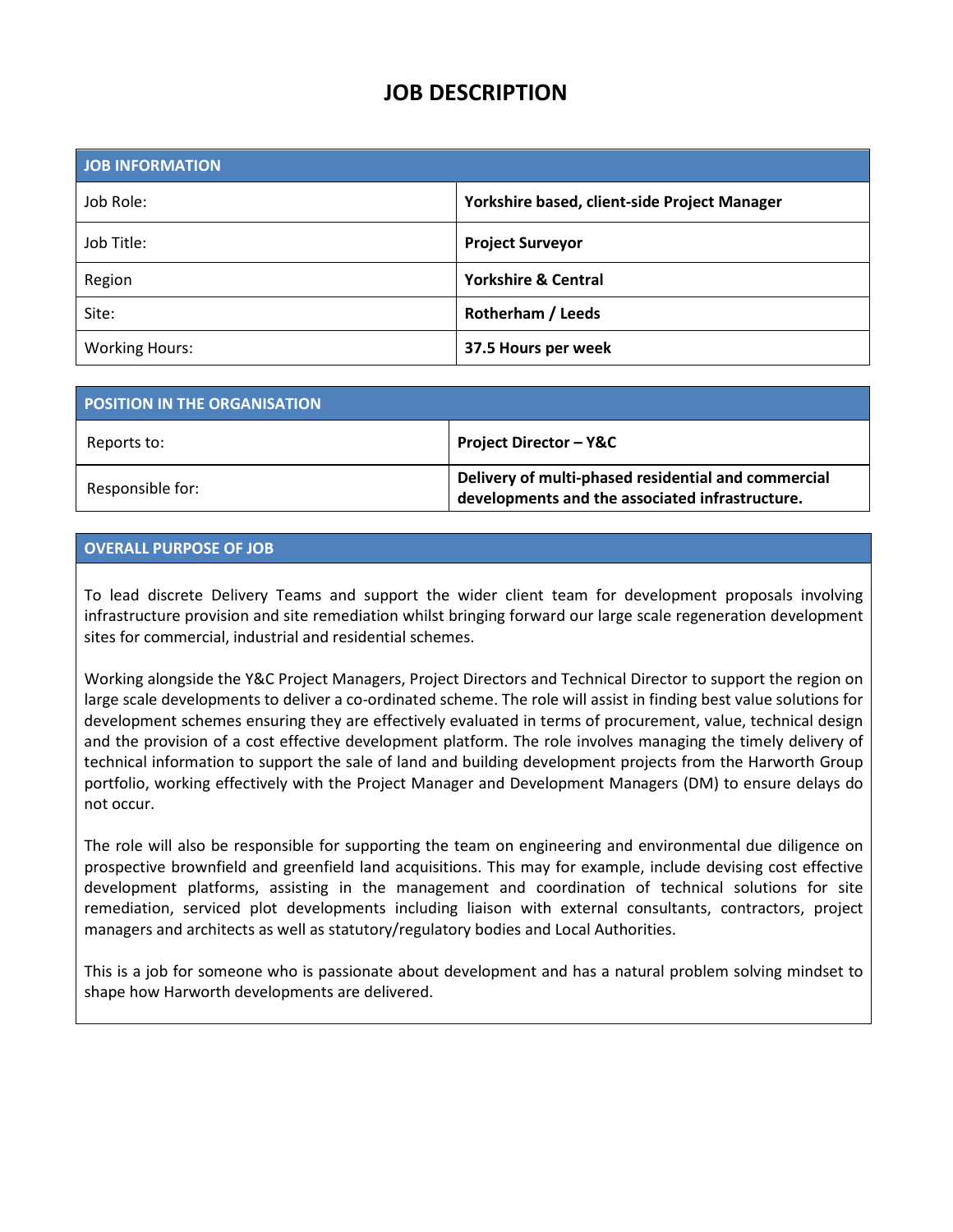# **JOB DESCRIPTION**

| <b>JOB INFORMATION</b> |                                              |
|------------------------|----------------------------------------------|
| Job Role:              | Yorkshire based, client-side Project Manager |
| Job Title:             | <b>Project Surveyor</b>                      |
| Region                 | <b>Yorkshire &amp; Central</b>               |
| Site:                  | <b>Rotherham / Leeds</b>                     |
| <b>Working Hours:</b>  | 37.5 Hours per week                          |

| POSITION IN THE ORGANISATION |                                                                                                        |
|------------------------------|--------------------------------------------------------------------------------------------------------|
| Reports to:                  | <b>Project Director – Y&amp;C</b>                                                                      |
| Responsible for:             | Delivery of multi-phased residential and commercial<br>developments and the associated infrastructure. |

## **OVERALL PURPOSE OF JOB**

To lead discrete Delivery Teams and support the wider client team for development proposals involving infrastructure provision and site remediation whilst bringing forward our large scale regeneration development sites for commercial, industrial and residential schemes.

Working alongside the Y&C Project Managers, Project Directors and Technical Director to support the region on large scale developments to deliver a co-ordinated scheme. The role will assist in finding best value solutions for development schemes ensuring they are effectively evaluated in terms of procurement, value, technical design and the provision of a cost effective development platform. The role involves managing the timely delivery of technical information to support the sale of land and building development projects from the Harworth Group portfolio, working effectively with the Project Manager and Development Managers (DM) to ensure delays do not occur.

The role will also be responsible for supporting the team on engineering and environmental due diligence on prospective brownfield and greenfield land acquisitions. This may for example, include devising cost effective development platforms, assisting in the management and coordination of technical solutions for site remediation, serviced plot developments including liaison with external consultants, contractors, project managers and architects as well as statutory/regulatory bodies and Local Authorities.

This is a job for someone who is passionate about development and has a natural problem solving mindset to shape how Harworth developments are delivered.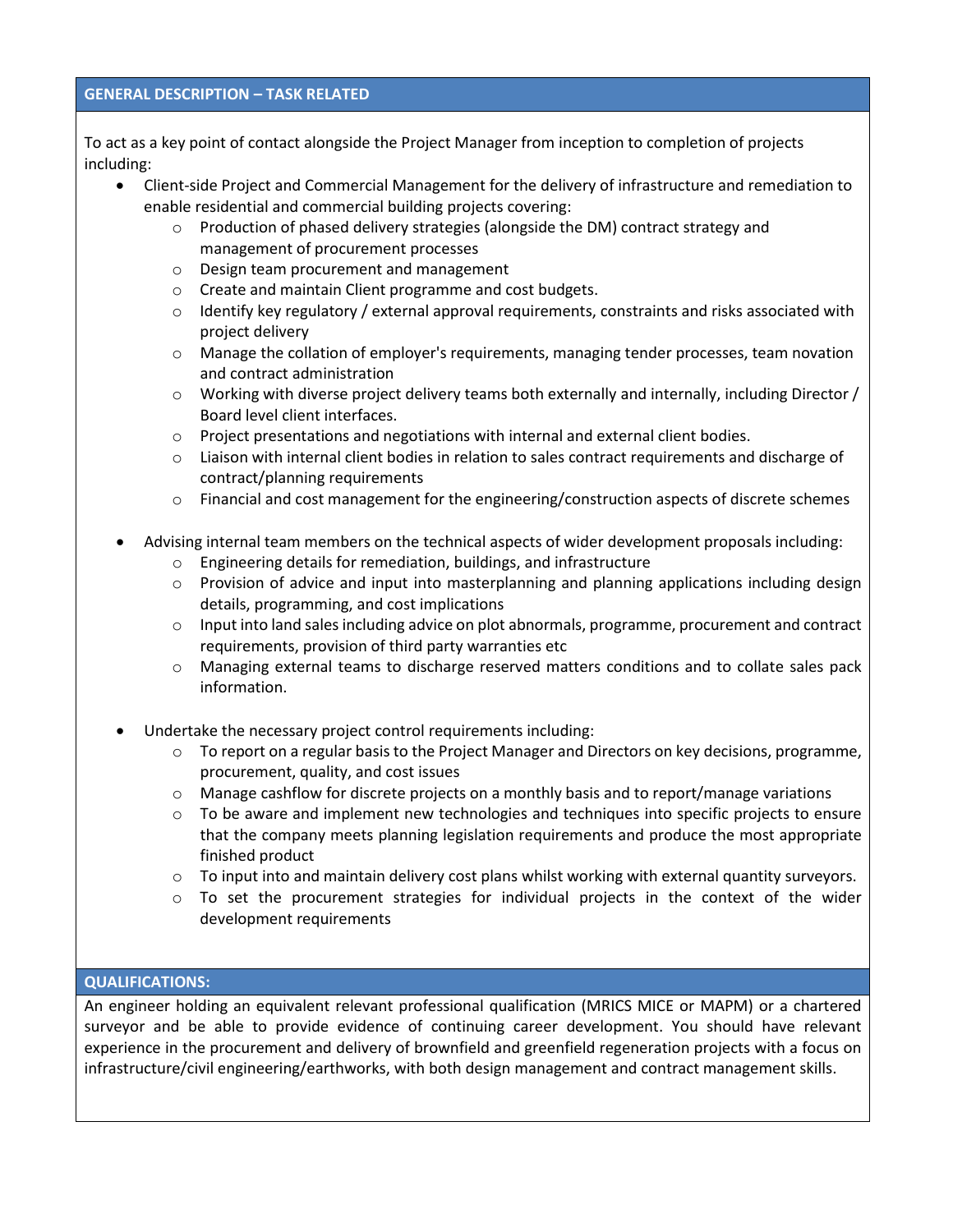## **GENERAL DESCRIPTION – TASK RELATED**

To act as a key point of contact alongside the Project Manager from inception to completion of projects including:

- Client-side Project and Commercial Management for the delivery of infrastructure and remediation to enable residential and commercial building projects covering:
	- $\circ$  Production of phased delivery strategies (alongside the DM) contract strategy and management of procurement processes
	- o Design team procurement and management
	- o Create and maintain Client programme and cost budgets.
	- $\circ$  Identify key regulatory / external approval requirements, constraints and risks associated with project delivery
	- $\circ$  Manage the collation of employer's requirements, managing tender processes, team novation and contract administration
	- $\circ$  Working with diverse project delivery teams both externally and internally, including Director / Board level client interfaces.
	- o Project presentations and negotiations with internal and external client bodies.
	- o Liaison with internal client bodies in relation to sales contract requirements and discharge of contract/planning requirements
	- $\circ$  Financial and cost management for the engineering/construction aspects of discrete schemes
- Advising internal team members on the technical aspects of wider development proposals including:
	- o Engineering details for remediation, buildings, and infrastructure
	- $\circ$  Provision of advice and input into masterplanning and planning applications including design details, programming, and cost implications
	- $\circ$  Input into land sales including advice on plot abnormals, programme, procurement and contract requirements, provision of third party warranties etc
	- o Managing external teams to discharge reserved matters conditions and to collate sales pack information.
- Undertake the necessary project control requirements including:
	- $\circ$  To report on a regular basis to the Project Manager and Directors on key decisions, programme, procurement, quality, and cost issues
	- o Manage cashflow for discrete projects on a monthly basis and to report/manage variations
	- $\circ$  To be aware and implement new technologies and techniques into specific projects to ensure that the company meets planning legislation requirements and produce the most appropriate finished product
	- $\circ$  To input into and maintain delivery cost plans whilst working with external quantity surveyors.
	- $\circ$  To set the procurement strategies for individual projects in the context of the wider development requirements

## **QUALIFICATIONS:**

An engineer holding an equivalent relevant professional qualification (MRICS MICE or MAPM) or a chartered surveyor and be able to provide evidence of continuing career development. You should have relevant experience in the procurement and delivery of brownfield and greenfield regeneration projects with a focus on infrastructure/civil engineering/earthworks, with both design management and contract management skills.